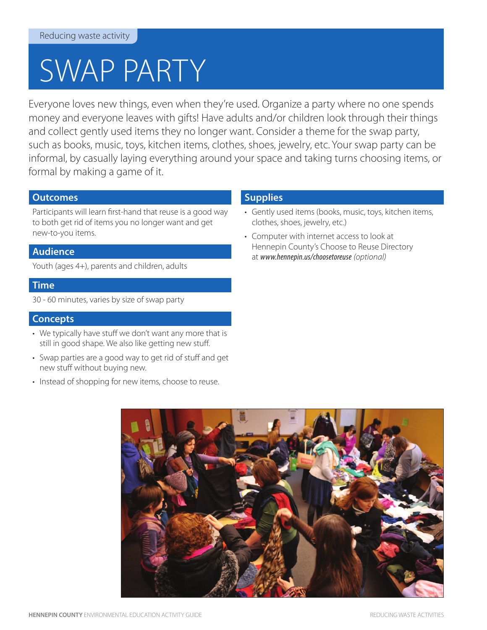# SWAP PARTY

Everyone loves new things, even when they're used. Organize a party where no one spends money and everyone leaves with gifts! Have adults and/or children look through their things and collect gently used items they no longer want. Consider a theme for the swap party, such as books, music, toys, kitchen items, clothes, shoes, jewelry, etc. Your swap party can be informal, by casually laying everything around your space and taking turns choosing items, or formal by making a game of it.

# **Outcomes**

Participants will learn first-hand that reuse is a good way to both get rid of items you no longer want and get new-to-you items.

# **Audience**

Youth (ages 4+), parents and children, adults

# **Time**

30 - 60 minutes, varies by size of swap party

#### **Concepts**

- We typically have stuff we don't want any more that is still in good shape. We also like getting new stuff.
- Swap parties are a good way to get rid of stuff and get new stuff without buying new.
- Instead of shopping for new items, choose to reuse.

# **Supplies**

- Gently used items (books, music, toys, kitchen items, clothes, shoes, jewelry, etc.)
- Computer with internet access to look at Hennepin County's Choose to Reuse Directory at *www.hennepin.us/choosetoreuse (optional)*